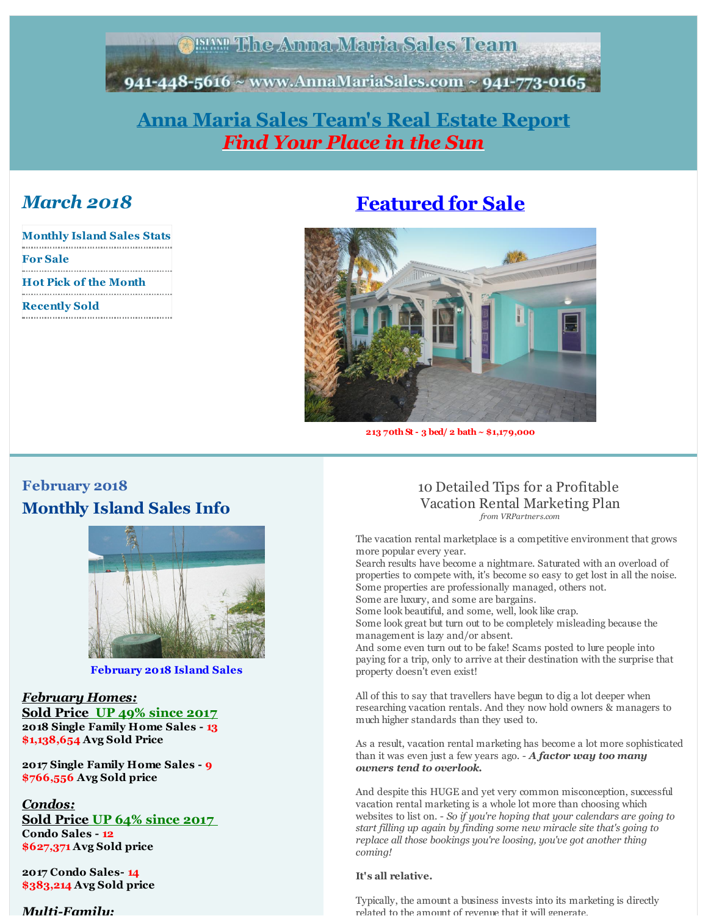## **ABIAN The Anna Maria Sales Team**

<span id="page-0-0"></span>941-448-5616 ~ www.AnnaMariaSales.com ~ 941-773-0165

## **Anna Maria Sales [Team's](http://r20.rs6.net/tn.jsp?f=001l88MsaiA4C7efIWg2YIwx50fxzWvQwqU8TTemQ7e8rM53bOpUOJfZHpowYP8wUG78BA1j5dUDUFR4bUfYr0zfhEUAR7DKmCmPFAHrpLYxDYTODo_2Wf0fJfrC0FkpxcDNO6m4k0OjHX47wy1I_I9oNeswqdfklJFTKRMeEFl5ksNz0_1GBZ4Pw==&c=&ch=) Real Estate Report** *Find Your Place in the Sun*

## *March 2018*

| <b>Monthly Island Sales Stats</b> |
|-----------------------------------|
| <b>For Sale</b>                   |
|                                   |
| <b>Hot Pick of the Month</b>      |
| <b>Recently Sold</b>              |

# **[Featured](http://r20.rs6.net/tn.jsp?f=001l88MsaiA4C7efIWg2YIwx50fxzWvQwqU8TTemQ7e8rM53bOpUOJfZJeoPKWFi4uHt7KrCOE4Tyw5_e9IFR8Rl99C0pNugDlXAkAhS9jCjWQxeDcEO8_znh1RHvz7Scn2M61iKem8tZviHlX_6GmOz00BAdE2SJD1Jv3Xn_hHGCqwSzwxGL0Ip8beRu_eR_jypcY87VkkbHGQbEEFyP8SFkDpCv3vhEfcQxfBBx8LzGA=&c=&ch=) for Sale**



**213 70th St - 3 bed/ 2 bath~ \$1,179,000**

## **February 2018 Monthly Island Sales Info**



**February 2018 Island Sales**

### *February Homes:*

**Sold Price UP 49% since 2017 2018 Single Family Home Sales - 13 \$1,138,654 Avg Sold Price**

**2017 Single Family Home Sales - 9 \$766,556 Avg Sold price**

### *Condos:*

**Sold Price UP 64% since 2017 Condo Sales - 12 \$627,371 Avg Sold price**

**2017 Condo Sales- 14 \$383,214 Avg Sold price**

#### *Multi-Family:*

#### 10 Detailed Tips for a Profitable Vacation Rental Marketing Plan *from VRPartners.com*

The vacation rental marketplace is a competitive environment that grows more popular every year.

Search results have become a nightmare. Saturated with an overload of properties to compete with, it's become so easy to get lost in all the noise. Some properties are professionally managed, others not.

Some are luxury, and some are bargains.

Some look beautiful, and some, well, look like crap. Some look great but turn out to be completely misleading because the

management is lazy and/or absent. And some even turn out to be fake! Scams posted to lure people into paying for a trip, only to arrive at their destination with the surprise that property doesn't even exist!

All of this to say that travellers have begun to dig a lot deeper when researching vacation rentals. And they now hold owners & managers to much higher standards than they used to.

As a result, vacation rental marketing has become a lot more sophisticated than it was even just a few years ago. - *A factor way too many owners tend to overlook.*

And despite this HUGE and yet very common misconception, successful vacation rental marketing is a whole lot more than choosing which websites to list on. - *So if you're hoping that your calendars are going to start filling up again by finding some new miracle site that's going to replace all those bookings you're loosing, you've got another thing coming!*

#### **It's all relative.**

Typically, the amount a business invests into its marketing is directly related to the amount of revenue that it will generate.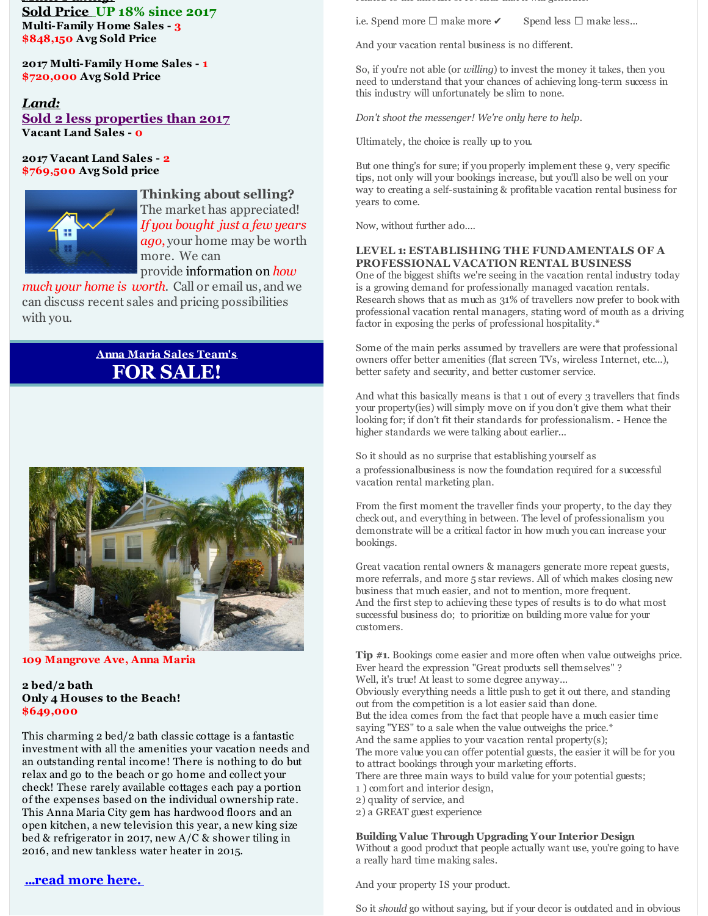*Multi-Family:* **Sold Price UP 18% since 2017 Multi-Family Home Sales - 3 \$848,150 Avg Sold Price**

**2017 Multi-Family Home Sales - 1 \$720,000 Avg Sold Price**

#### *Land:* **Sold 2 less properties than 2017 Vacant Land Sales - 0**

**2017 Vacant Land Sales - 2 \$769,500 Avg Sold price**



**Thinking about selling?** The market has appreciated! *If you bought just a few years ago*, your home may be worth more. We can provide information on *how*

*much your home is worth*. Call or email us, and we can discuss recent sales and pricing possibilities with you.

## **Anna Maria Sales Team's FOR SALE!**



**109 Mangrove Ave, Anna Maria**

**2 bed/2 bath Only 4 Houses to the Beach! \$649,000**

This charming 2 bed/2 bath classic cottage is a fantastic investment with all the amenities your vacation needs and an outstanding rental income! There is nothing to do but relax and go to the beach or go home and collect your check! These rarely available cottages each pay a portion of the expenses based on the individual ownership rate. This Anna Maria City gem has hardwood floors and an open kitchen, a new television this year, a new king size bed & refrigerator in 2017, new A/C & shower tiling in 2016, and new tankless water heater in 2015.

## **[...read](http://r20.rs6.net/tn.jsp?f=001l88MsaiA4C7efIWg2YIwx50fxzWvQwqU8TTemQ7e8rM53bOpUOJfZCxbIk1qjxdW4wYBVm38fYhTEq8oRTdypE0hBfEmx_N73saDdpX3qeUX5QbAAe6E85-geSfy2i3gEZEj4CUq7lwXFauIYPYmy1gjXVV1k7PGkQl0JlDpDgWlW5e4lMwDmR_1cgjuTrvXaXGJ3n2Yiaa2OXNeyRlbu3C77T6csFE5zo9FQdHz_AVsRrivVhmFhgB1gK1BpBvZ&c=&ch=) more here.**

related to the amount of revenue that it will generate.

i.e. Spend more  $\square$  make more  $\checkmark$  Spend less  $\square$  make less...

And your vacation rental business is no different.

So, if you're not able (or *willing*) to invest the money it takes, then you need to understand that your chances of achieving long-term success in this industry will unfortunately be slim to none.

*Don't shoot the messenger! We're only here to help.*

Ultimately, the choice is really up to you.

But one thing's for sure; if you properly implement these 9, very specific tips, not only will your bookings increase, but you'll also be well on your way to creating a self-sustaining & profitable vacation rental business for years to come.

Now, without further ado....

#### **LEVEL 1: ESTABLISHING THE FUNDAMENTALS OF A PROFESSIONAL VACATION RENTAL BUSINESS**

One of the biggest shifts we're seeing in the vacation rental industry today is a growing demand for professionally managed vacation rentals. Research shows that as much as 31% of travellers now prefer to book with professional vacation rental managers, stating word of mouth as a driving factor in exposing the perks of professional hospitality.\*

Some of the main perks assumed by travellers are were that professional owners offer better amenities (flat screen TVs, wireless Internet, etc...), better safety and security, and better customer service.

And what this basically means is that 1 out of every 3 travellers that finds your property(ies) will simply move on if you don't give them what their looking for; if don't fit their standards for professionalism. - Hence the higher standards we were talking about earlier...

So it should as no surprise that establishing yourself as a professionalbusiness is now the foundation required for a successful vacation rental marketing plan.

From the first moment the traveller finds your property, to the day they check out, and everything in between. The level of professionalism you demonstrate will be a critical factor in how much you can increase your bookings.

Great vacation rental owners & managers generate more repeat guests, more referrals, and more 5 star reviews. All of which makes closing new business that much easier, and not to mention, more frequent. And the first step to achieving these types of results is to do what most successful business do; to prioritize on building more value for your customers.

**Tip #1**. Bookings come easier and more often when value outweighs price. Ever heard the expression "Great products sell themselves" ? Well, it's true! At least to some degree anyway... Obviously everything needs a little push to get it out there, and standing out from the competition is a lot easier said than done. But the idea comes from the fact that people have a much easier time saying "YES" to a sale when the value outweighs the price.\* And the same applies to your vacation rental property(s); The more value you can offer potential guests, the easier it will be for you to attract bookings through your marketing efforts. There are three main ways to build value for your potential guests; 1 ) comfort and interior design, 2) quality of service, and

2) a GREAT guest experience

### **Building Value Through Upgrading Your Interior Design**

Without a good product that people actually want use, you're going to have a really hard time making sales.

And your property IS your product.

So it *should* go without saying, but if your decor is outdated and in obvious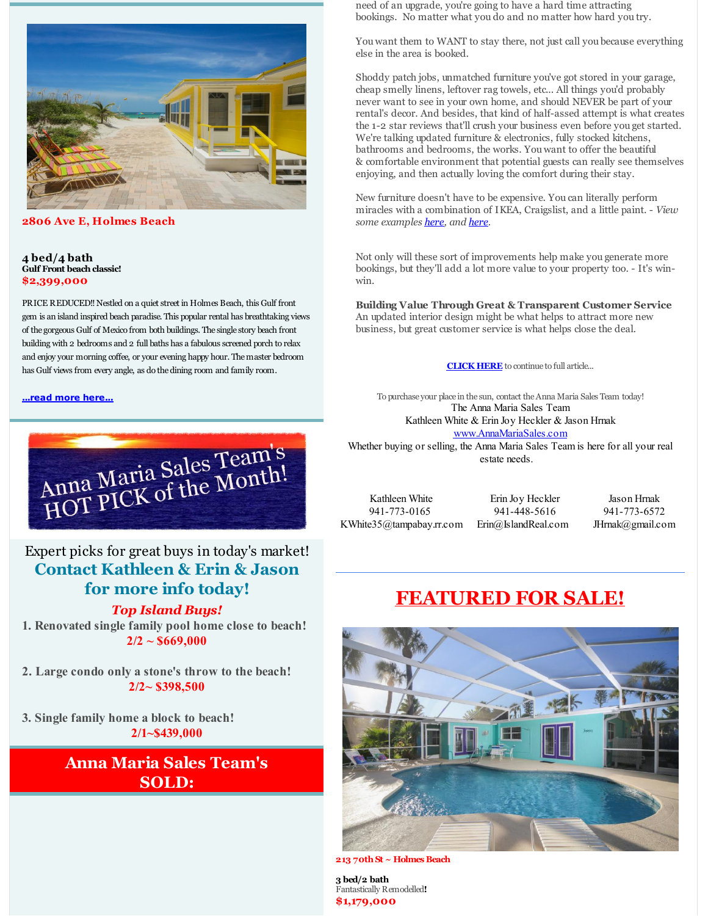

**2806 Ave E, Holmes Beach**

#### **4 bed/4 bath Gulf Front beach classic! \$2,399,000**

PRICE REDUCED!! Nestled on a quiet street in Holmes Beach, this Gulf front gem is an island inspired beach paradise. This popular rental has breathtaking views of the gorgeous Gulf of Mexico from both buildings. The single story beach front building with 2 bedrooms and 2 full baths has a fabulous screened porch to relax and enjoy your morning coffee, or your evening happy hour. Themaster bedroom has Gulf views from every angle, as do thedining room and family room.

**[...read](http://r20.rs6.net/tn.jsp?f=001l88MsaiA4C7efIWg2YIwx50fxzWvQwqU8TTemQ7e8rM53bOpUOJfZE92Bc_Ta2NJUdDFlCNdjhNWvaPwzdr_OshW6yMKWN03BnoFUMiPdCWWqtf2aco-aqAIV7XnFMkKuDUoFm7QCFg4A78Dvc4vnaVFm5b3rYBnrfibeWLURPaaQcyncgEHtY5EuX3YMLQvulqxYYqZNqWhH19DsglUCAn_zhdke8x2vmCA1upLTw2-6djp--zO0w==&c=&ch=) more here...**



Expert picks for great buys in today's market! **Contact Kathleen & Erin & Jason for more info today!**

## *Top Island Buys!*

**1. Renovated single family pool home close to beach! 2/2 ~ \$669,000**

**2. Large condo only a stone's throw to the beach! 2/2~ \$398,500**

**3. Single family home a block to beach! 2/1~\$439,000**

> **Anna Maria Sales Team's SOLD:**

need of an upgrade, you're going to have a hard time attracting bookings. No matter what you do and no matter how hard you try.

You want them to WANT to stay there, not just call you because everything else in the area is booked.

Shoddy patch jobs, unmatched furniture you've got stored in your garage, cheap smelly linens, leftover rag towels, etc... All things you'd probably never want to see in your own home, and should NEVER be part of your rental's decor. And besides, that kind of half-assed attempt is what creates the 1-2 star reviews that'll crush your business even before you get started. We're talking updated furniture & electronics, fully stocked kitchens, bathrooms and bedrooms, the works. You want to offer the beautiful & comfortable environment that potential guests can really see themselves enjoying, and then actually loving the comfort during their stay.

New furniture doesn't have to be expensive. You can literally perform miracles with a combination of IKEA, Craigslist, and a little paint. - *View some examples [here](http://r20.rs6.net/tn.jsp?f=001l88MsaiA4C7efIWg2YIwx50fxzWvQwqU8TTemQ7e8rM53bOpUOJfZCxbIk1qjxdWHyD2UMZxm08YgdTE8oCGEn64zsiDECMcIXNa_O_j57M1R2YXoi8q4gol7qpRNLSFngFkeglr03NH4pf70hgmR382rDJmS7nZi_HqYf_2Q4Lys7yDbWGWB_ZcXt2aHUOWiK-8tonneXjpbUgWFkwEXU5z2o9UHLKWVIMO5d-KXGNMduh940pKUHPzWYLnmsZLoWndQu7ltg8YZfDFhRoVrQe-Wnfm-mLZ&c=&ch=), and [here](http://r20.rs6.net/tn.jsp?f=001l88MsaiA4C7efIWg2YIwx50fxzWvQwqU8TTemQ7e8rM53bOpUOJfZCxbIk1qjxdWYbvlbTfXpqAfycMLajFQn0Jx1y2SBYiY_6lgBCi8UCe3kvUjmZvcOKYyyWD2NtiWc5aQ-Nh806HNgNT1l-2weL3TRmYjfRd9WQ6V3Bd_PtwL5ggJ5sd7rbzpyR062ov75BiZYrx7qfmgkcwhMtYNWF25ITAwW5Hs3VBibSkg33f6dkNdP4aV6HEQb7yQAQ_mcDwPaSs4C1FOY3L3D-jsPw==&c=&ch=).*

Not only will these sort of improvements help make you generate more bookings, but they'll add a lot more value to your property too. - It's winwin.

**Building Value Through Great & Transparent Customer Service** An updated interior design might be what helps to attract more new business, but great customer service is what helps close the deal.

**[CLICK](http://r20.rs6.net/tn.jsp?f=001l88MsaiA4C7efIWg2YIwx50fxzWvQwqU8TTemQ7e8rM53bOpUOJfZCxbIk1qjxdWxUiWwKpQ7RZrtH1k03okXpcAcuMa-Us_kBrCMlXd6UWcqNB_TGWmc60KKdrrVIofPD0nboWKcTn2K_zBvL_pao1WWHVFIdH4ZmviIztsjZsi1a5B0AhcTDECpCeUahFaudqGSS89fPqB3KcAWktKNO_P432Kq6cwN4gSSJhOTJ-OiGmOKoDTzLXHYmY6ZZeha8yOMZtb0fs=&c=&ch=) HERE** to continue to full article...

To purchase your place in the sun, contact theAnna Maria Sales Team today! The Anna Maria Sales Team Kathleen White & Erin Joy Heckler & Jason Hrnak [www.AnnaMariaSales.com](http://r20.rs6.net/tn.jsp?f=001l88MsaiA4C7efIWg2YIwx50fxzWvQwqU8TTemQ7e8rM53bOpUOJfZHpowYP8wUG78BA1j5dUDUFR4bUfYr0zfhEUAR7DKmCmPFAHrpLYxDYTODo_2Wf0fJfrC0FkpxcDNO6m4k0OjHX47wy1I_I9oNeswqdfklJFTKRMeEFl5ksNz0_1GBZ4Pw==&c=&ch=) Whether buying or selling, the Anna Maria Sales Team is here for all your real estate needs.

Kathleen White 941-773-0165 KWhite35@tampabay.rr.com Erin@IslandReal.com

Erin Joy Heckler 941-448-5616

Jason Hrnak 941-773-6572 JHrnak@gmail.com

# **[FEATURED](http://r20.rs6.net/tn.jsp?f=001l88MsaiA4C7efIWg2YIwx50fxzWvQwqU8TTemQ7e8rM53bOpUOJfZJeoPKWFi4uHt7KrCOE4Tyw5_e9IFR8Rl99C0pNugDlXAkAhS9jCjWQxeDcEO8_znh1RHvz7Scn2M61iKem8tZviHlX_6GmOz00BAdE2SJD1Jv3Xn_hHGCqwSzwxGL0Ip8beRu_eR_jypcY87VkkbHGQbEEFyP8SFkDpCv3vhEfcQxfBBx8LzGA=&c=&ch=) FOR SALE!**



**213 70th St ~ Holmes Beach**

**3 bed/2 bath** Fantastically Remodelled**! \$1,179,000**